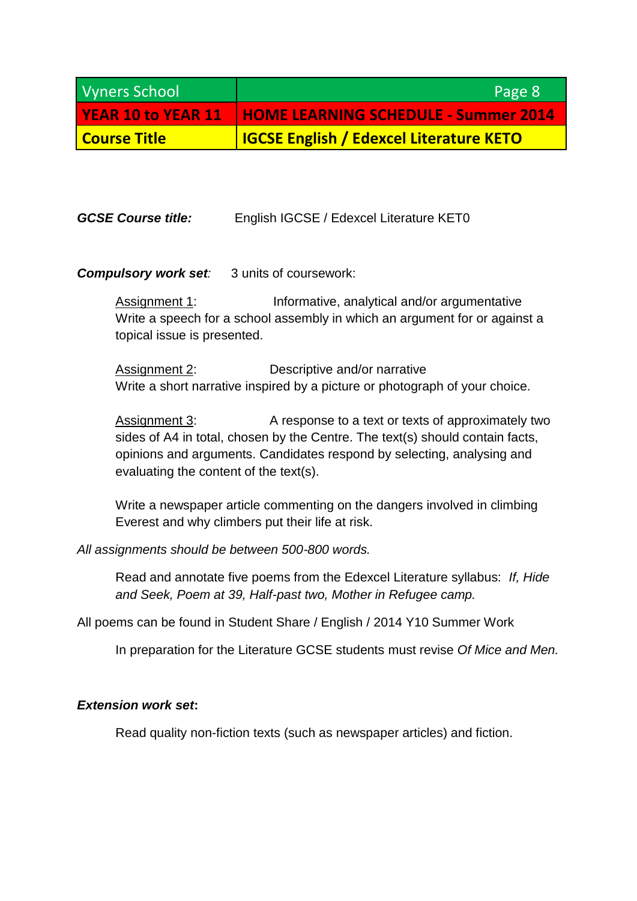| <b>Vyners School</b> | Page 8                                                         |
|----------------------|----------------------------------------------------------------|
|                      | <b>YEAR 10 to YEAR 11 HOME LEARNING SCHEDULE - Summer 2014</b> |
| Course Title         | <b>IGCSE English / Edexcel Literature KETO</b>                 |

**GCSE Course title:** English IGCSE / Edexcel Literature KET0

## *Compulsory work set:* 3 units of coursework:

Assignment 1: Informative, analytical and/or argumentative Write a speech for a school assembly in which an argument for or against a topical issue is presented.

Assignment 2: Descriptive and/or narrative Write a short narrative inspired by a picture or photograph of your choice.

Assignment 3: A response to a text or texts of approximately two sides of A4 in total, chosen by the Centre. The text(s) should contain facts, opinions and arguments. Candidates respond by selecting, analysing and evaluating the content of the text(s).

Write a newspaper article commenting on the dangers involved in climbing Everest and why climbers put their life at risk.

*All assignments should be between 500-800 words.*

Read and annotate five poems from the Edexcel Literature syllabus: *If, Hide and Seek, Poem at 39, Half-past two, Mother in Refugee camp.* 

All poems can be found in Student Share / English / 2014 Y10 Summer Work

In preparation for the Literature GCSE students must revise *Of Mice and Men.*

## *Extension work set***:**

Read quality non-fiction texts (such as newspaper articles) and fiction.